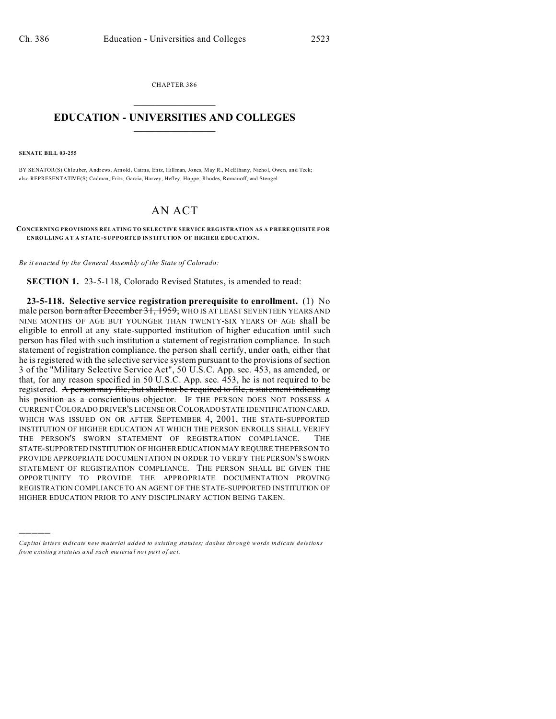CHAPTER 386  $\overline{\phantom{a}}$  , where  $\overline{\phantom{a}}$ 

## **EDUCATION - UNIVERSITIES AND COLLEGES**  $\frac{1}{2}$

**SENATE BILL 03-255**

)))))

BY SENATOR(S) Ch louber, Andrews, Arnold, Cairns, Entz, Hillman, Jones, May R., McElhany, Nicho l, Owen, an d Teck; also REPRESENTATIVE(S) Cadman, Fritz, Garcia, Harvey, Hefley, Hoppe, Rhodes, Romanoff, and Stengel.

## AN ACT

**CONCERNING PROVISIONS RELATING TO SELECTIVE SERVICE REGISTRATION AS A P RERE QUISITE FOR ENRO LLING A T A STATE-SUPPORTED INSTITUTION OF HIGHER EDUCATION.**

*Be it enacted by the General Assembly of the State of Colorado:*

**SECTION 1.** 23-5-118, Colorado Revised Statutes, is amended to read:

**23-5-118. Selective service registration prerequisite to enrollment.** (1) No male person born after December 31, 1959, WHO IS AT LEAST SEVENTEEN YEARS AND NINE MONTHS OF AGE BUT YOUNGER THAN TWENTY-SIX YEARS OF AGE shall be eligible to enroll at any state-supported institution of higher education until such person has filed with such institution a statement of registration compliance. In such statement of registration compliance, the person shall certify, under oath, either that he is registered with the selective service system pursuant to the provisions of section 3 of the "Military Selective Service Act", 50 U.S.C. App. sec. 453, as amended, or that, for any reason specified in 50 U.S.C. App. sec. 453, he is not required to be registered. A person may file, but shall not be required to file, a statement indicating his position as a conscientious objector. IF THE PERSON DOES NOT POSSESS A CURRENTCOLORADO DRIVER'S LICENSE OR COLORADO STATE IDENTIFICATION CARD, WHICH WAS ISSUED ON OR AFTER SEPTEMBER 4, 2001, THE STATE-SUPPORTED INSTITUTION OF HIGHER EDUCATION AT WHICH THE PERSON ENROLLS SHALL VERIFY THE PERSON'S SWORN STATEMENT OF REGISTRATION COMPLIANCE. THE STATE-SUPPORTED INSTITUTION OF HIGHER EDUCATION MAY REQUIRE THE PERSON TO PROVIDE APPROPRIATE DOCUMENTATION IN ORDER TO VERIFY THE PERSON'S SWORN STATEMENT OF REGISTRATION COMPLIANCE. THE PERSON SHALL BE GIVEN THE OPPORTUNITY TO PROVIDE THE APPROPRIATE DOCUMENTATION PROVING REGISTRATION COMPLIANCE TO AN AGENT OF THE STATE-SUPPORTED INSTITUTION OF HIGHER EDUCATION PRIOR TO ANY DISCIPLINARY ACTION BEING TAKEN.

*Capital letters indicate new material added to existing statutes; dashes through words indicate deletions from e xistin g statu tes a nd such ma teria l no t pa rt of ac t.*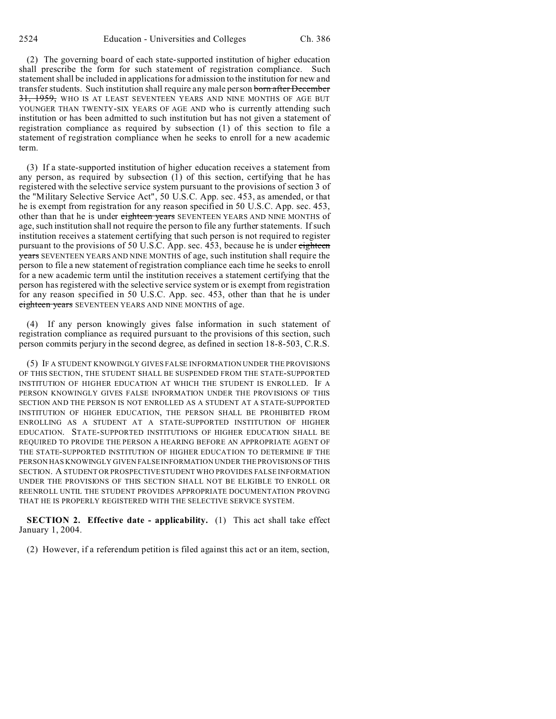(2) The governing board of each state-supported institution of higher education shall prescribe the form for such statement of registration compliance. Such statement shall be included in applications for admission to the institution for new and transfer students. Such institution shall require any male person born after December 31, 1959, WHO IS AT LEAST SEVENTEEN YEARS AND NINE MONTHS OF AGE BUT YOUNGER THAN TWENTY-SIX YEARS OF AGE AND who is currently attending such institution or has been admitted to such institution but has not given a statement of registration compliance as required by subsection (1) of this section to file a statement of registration compliance when he seeks to enroll for a new academic term.

(3) If a state-supported institution of higher education receives a statement from any person, as required by subsection (1) of this section, certifying that he has registered with the selective service system pursuant to the provisions of section 3 of the "Military Selective Service Act", 50 U.S.C. App. sec. 453, as amended, or that he is exempt from registration for any reason specified in 50 U.S.C. App. sec. 453, other than that he is under eighteen years SEVENTEEN YEARS AND NINE MONTHS of age, such institution shall not require the person to file any further statements. If such institution receives a statement certifying that such person is not required to register pursuant to the provisions of 50 U.S.C. App. sec. 453, because he is under eighteen years SEVENTEEN YEARS AND NINE MONTHS of age, such institution shall require the person to file a new statement of registration compliance each time he seeks to enroll for a new academic term until the institution receives a statement certifying that the person has registered with the selective service system or is exempt from registration for any reason specified in 50 U.S.C. App. sec. 453, other than that he is under eighteen years SEVENTEEN YEARS AND NINE MONTHS of age.

(4) If any person knowingly gives false information in such statement of registration compliance as required pursuant to the provisions of this section, such person commits perjury in the second degree, as defined in section 18-8-503, C.R.S.

(5) IF A STUDENT KNOWINGLY GIVES FALSE INFORMATION UNDER THE PROVISIONS OF THIS SECTION, THE STUDENT SHALL BE SUSPENDED FROM THE STATE-SUPPORTED INSTITUTION OF HIGHER EDUCATION AT WHICH THE STUDENT IS ENROLLED. IF A PERSON KNOWINGLY GIVES FALSE INFORMATION UNDER THE PROVISIONS OF THIS SECTION AND THE PERSON IS NOT ENROLLED AS A STUDENT AT A STATE-SUPPORTED INSTITUTION OF HIGHER EDUCATION, THE PERSON SHALL BE PROHIBITED FROM ENROLLING AS A STUDENT AT A STATE-SUPPORTED INSTITUTION OF HIGHER EDUCATION. STATE-SUPPORTED INSTITUTIONS OF HIGHER EDUCATION SHALL BE REQUIRED TO PROVIDE THE PERSON A HEARING BEFORE AN APPROPRIATE AGENT OF THE STATE-SUPPORTED INSTITUTION OF HIGHER EDUCATION TO DETERMINE IF THE PERSON HAS KNOWINGLY GIVEN FALSE INFORMATION UNDER THE PROVISIONS OF THIS SECTION. A STUDENT OR PROSPECTIVE STUDENT WHO PROVIDES FALSE INFORMATION UNDER THE PROVISIONS OF THIS SECTION SHALL NOT BE ELIGIBLE TO ENROLL OR REENROLL UNTIL THE STUDENT PROVIDES APPROPRIATE DOCUMENTATION PROVING THAT HE IS PROPERLY REGISTERED WITH THE SELECTIVE SERVICE SYSTEM.

**SECTION 2. Effective date - applicability.** (1) This act shall take effect January 1, 2004.

(2) However, if a referendum petition is filed against this act or an item, section,